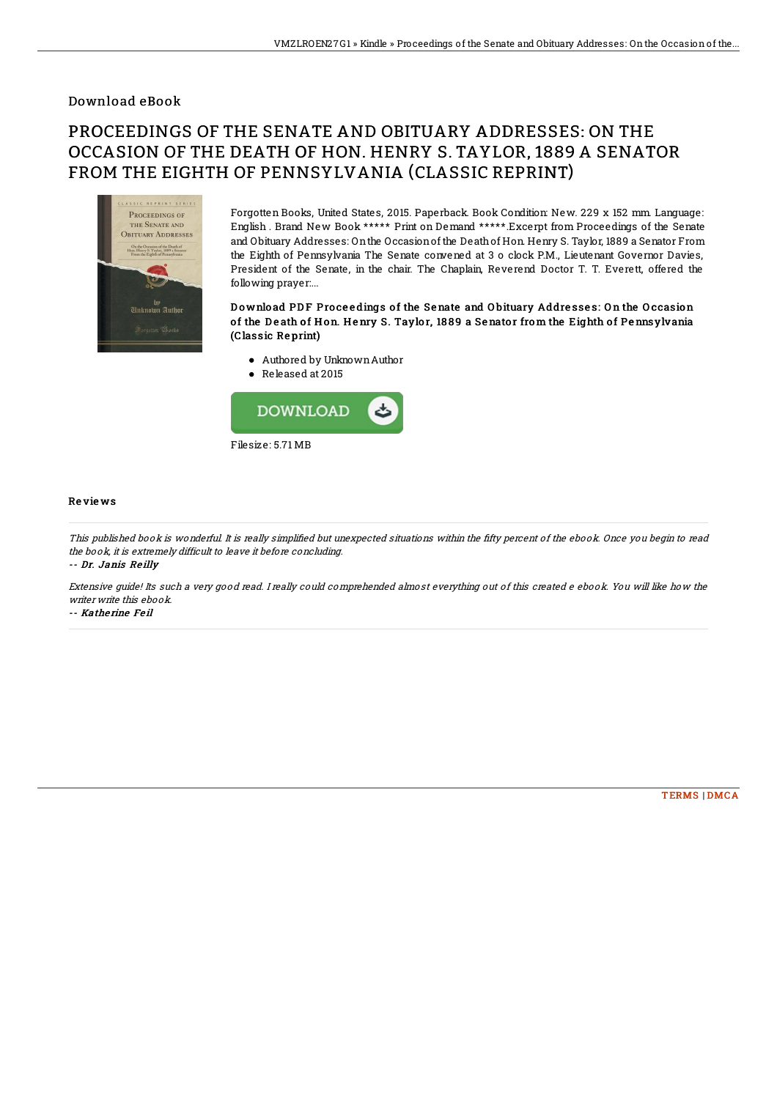## Download eBook

# PROCEEDINGS OF THE SENATE AND OBITUARY ADDRESSES: ON THE OCCASION OF THE DEATH OF HON. HENRY S. TAYLOR, 1889 A SENATOR FROM THE EIGHTH OF PENNSYLVANIA (CLASSIC REPRINT)



Forgotten Books, United States, 2015. Paperback. Book Condition: New. 229 x 152 mm. Language: English . Brand New Book \*\*\*\*\* Print on Demand \*\*\*\*\*.Excerpt from Proceedings of the Senate and Obituary Addresses: Onthe Occasionof the Deathof Hon. Henry S. Taylor, 1889 a Senator From the Eighth of Pennsylvania The Senate convened at 3 o clock P.M., Lieutenant Governor Davies, President of the Senate, in the chair. The Chaplain, Reverend Doctor T. T. Everett, offered the following prayer:...

### Download PDF Proceedings of the Senate and Obituary Addresses: On the Occasion of the Death of Hon. Henry S. Taylor, 1889 a Senator from the Eighth of Pennsylvania (Classic Re print)

- Authored by UnknownAuthor
- Released at 2015



#### Re vie ws

This published book is wonderful. It is really simplified but unexpected situations within the fifty percent of the ebook. Once you begin to read the book, it is extremely difficult to leave it before concluding.

-- Dr. Janis Reilly

Extensive guide! Its such <sup>a</sup> very good read. I really could comprehended almost everything out of this created <sup>e</sup> ebook. You will like how the writer write this ebook.

-- Kathe rine Fe il